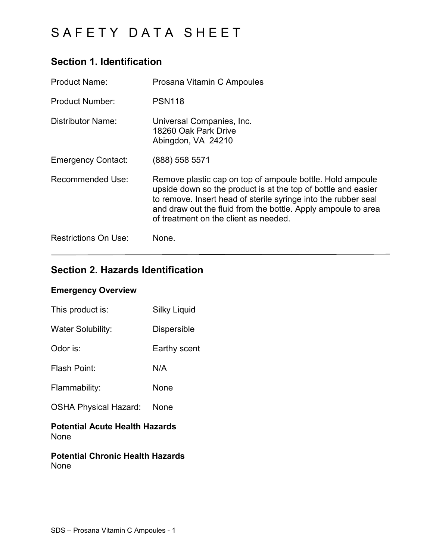## **Section 1. Identification**

| <b>Product Name:</b>      | Prosana Vitamin C Ampoules                                                                                                                                                                                                                                                                             |
|---------------------------|--------------------------------------------------------------------------------------------------------------------------------------------------------------------------------------------------------------------------------------------------------------------------------------------------------|
| <b>Product Number:</b>    | <b>PSN118</b>                                                                                                                                                                                                                                                                                          |
| Distributor Name:         | Universal Companies, Inc.<br>18260 Oak Park Drive<br>Abingdon, VA 24210                                                                                                                                                                                                                                |
| <b>Emergency Contact:</b> | (888) 558 5571                                                                                                                                                                                                                                                                                         |
| Recommended Use:          | Remove plastic cap on top of ampoule bottle. Hold ampoule<br>upside down so the product is at the top of bottle and easier<br>to remove. Insert head of sterile syringe into the rubber seal<br>and draw out the fluid from the bottle. Apply ampoule to area<br>of treatment on the client as needed. |
| Restrictions On Use:      | None.                                                                                                                                                                                                                                                                                                  |

## **Section 2. Hazards Identification**

### **Emergency Overview**

| This product is:                              | <b>Silky Liquid</b> |
|-----------------------------------------------|---------------------|
| <b>Water Solubility:</b>                      | <b>Dispersible</b>  |
| Odor is:                                      | Earthy scent        |
| Flash Point:                                  | N/A                 |
| Flammability:                                 | None                |
| <b>OSHA Physical Hazard:</b>                  | None                |
| <b>Potential Acute Health Hazards</b><br>None |                     |

**Potential Chronic Health Hazards**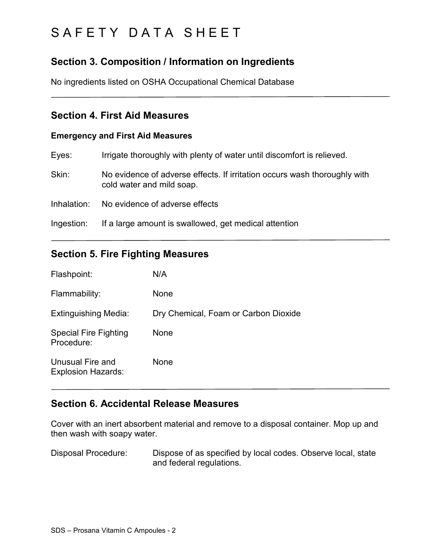## **Section 3. Composition / Information on Ingredients**

No ingredients listed on OSHA Occupational Chemical Database

#### **Section 4. First Aid Measures**

#### **Emergency and First Aid Measures**

| Eyes:       | Irrigate thoroughly with plenty of water until discomfort is relieved.                                 |
|-------------|--------------------------------------------------------------------------------------------------------|
| Skin:       | No evidence of adverse effects. If irritation occurs wash thoroughly with<br>cold water and mild soap. |
| Inhalation: | No evidence of adverse effects                                                                         |
| Ingestion:  | If a large amount is swallowed, get medical attention                                                  |
|             |                                                                                                        |

### **Section 5. Fire Fighting Measures**

| Flashpoint:                                   | N/A                                  |
|-----------------------------------------------|--------------------------------------|
| Flammability:                                 | None                                 |
| <b>Extinguishing Media:</b>                   | Dry Chemical, Foam or Carbon Dioxide |
| <b>Special Fire Fighting</b><br>Procedure:    | None                                 |
| Unusual Fire and<br><b>Explosion Hazards:</b> | None                                 |

### **Section 6. Accidental Release Measures**

Cover with an inert absorbent material and remove to a disposal container. Mop up and then wash with soapy water.

Disposal Procedure: Dispose of as specified by local codes. Observe local, state and federal regulations.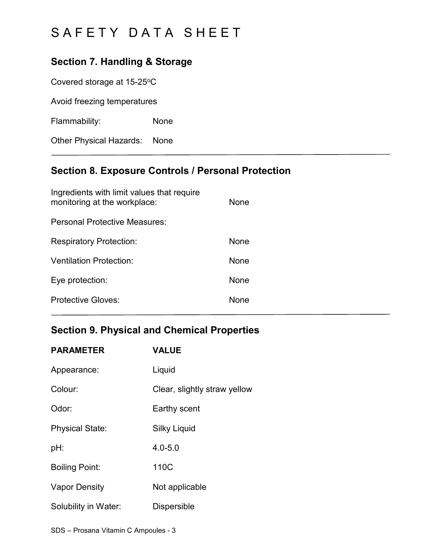## **Section 7. Handling & Storage**

Covered storage at 15-25°C

Avoid freezing temperatures

Flammability: None

Other Physical Hazards: None

## **Section 8. Exposure Controls / Personal Protection**

| Ingredients with limit values that require<br>monitoring at the workplace: | None        |
|----------------------------------------------------------------------------|-------------|
| Personal Protective Measures:                                              |             |
| <b>Respiratory Protection:</b>                                             | None        |
| Ventilation Protection:                                                    | <b>None</b> |
| Eye protection:                                                            | <b>None</b> |
| <b>Protective Gloves:</b>                                                  | None        |

### **Section 9. Physical and Chemical Properties**

| <b>PARAMETER</b>       | <b>VALUE</b>                 |
|------------------------|------------------------------|
| Appearance:            | Liquid                       |
| Colour:                | Clear, slightly straw yellow |
| Odor:                  | Earthy scent                 |
| <b>Physical State:</b> | <b>Silky Liquid</b>          |
| pH:                    | $4.0 - 5.0$                  |
| <b>Boiling Point:</b>  | 110C                         |
| Vapor Density          | Not applicable               |
| Solubility in Water:   | <b>Dispersible</b>           |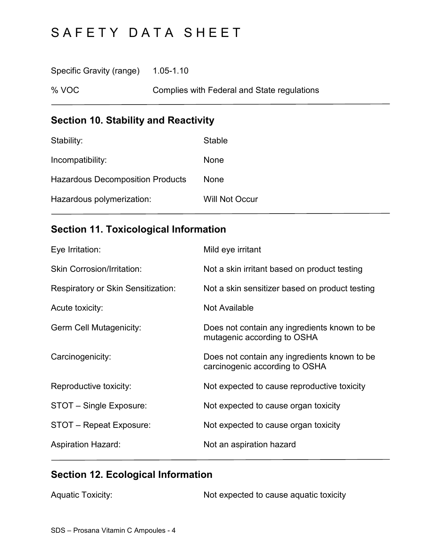Specific Gravity (range) 1.05-1.10

% VOC Complies with Federal and State regulations

# **Section 10. Stability and Reactivity**

| Stability:                              | <b>Stable</b>         |
|-----------------------------------------|-----------------------|
| Incompatibility:                        | None                  |
| <b>Hazardous Decomposition Products</b> | <b>None</b>           |
| Hazardous polymerization:               | <b>Will Not Occur</b> |

## **Section 11. Toxicological Information**

| Eye Irritation:                    | Mild eye irritant                                                              |
|------------------------------------|--------------------------------------------------------------------------------|
| <b>Skin Corrosion/Irritation:</b>  | Not a skin irritant based on product testing                                   |
| Respiratory or Skin Sensitization: | Not a skin sensitizer based on product testing                                 |
| Acute toxicity:                    | Not Available                                                                  |
| <b>Germ Cell Mutagenicity:</b>     | Does not contain any ingredients known to be<br>mutagenic according to OSHA    |
| Carcinogenicity:                   | Does not contain any ingredients known to be<br>carcinogenic according to OSHA |
| Reproductive toxicity:             | Not expected to cause reproductive toxicity                                    |
| STOT - Single Exposure:            | Not expected to cause organ toxicity                                           |
| STOT - Repeat Exposure:            | Not expected to cause organ toxicity                                           |
| <b>Aspiration Hazard:</b>          | Not an aspiration hazard                                                       |

# **Section 12. Ecological Information**

| Not expected to cause aquatic toxicity<br><b>Aquatic Toxicity:</b> |
|--------------------------------------------------------------------|
|--------------------------------------------------------------------|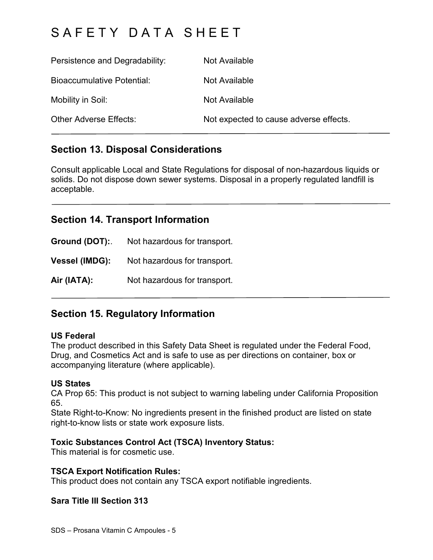# SAFFTY DATA SHFFT

| Persistence and Degradability: | Not Available                          |
|--------------------------------|----------------------------------------|
| Bioaccumulative Potential:     | Not Available                          |
| Mobility in Soil:              | Not Available                          |
| <b>Other Adverse Effects:</b>  | Not expected to cause adverse effects. |

### **Section 13. Disposal Considerations**

Consult applicable Local and State Regulations for disposal of non-hazardous liquids or solids. Do not dispose down sewer systems. Disposal in a properly regulated landfill is acceptable.

### **Section 14. Transport Information**

**Ground (DOT):**. Not hazardous for transport. **Vessel (IMDG):** Not hazardous for transport. **Air (IATA):** Not hazardous for transport.

## **Section 15. Regulatory Information**

#### **US Federal**

The product described in this Safety Data Sheet is regulated under the Federal Food, Drug, and Cosmetics Act and is safe to use as per directions on container, box or accompanying literature (where applicable).

#### **US States**

CA Prop 65: This product is not subject to warning labeling under California Proposition 65.

State Right-to-Know: No ingredients present in the finished product are listed on state right-to-know lists or state work exposure lists.

#### **Toxic Substances Control Act (TSCA) Inventory Status:**

This material is for cosmetic use.

#### **TSCA Export Notification Rules:**

This product does not contain any TSCA export notifiable ingredients.

#### **Sara Title III Section 313**